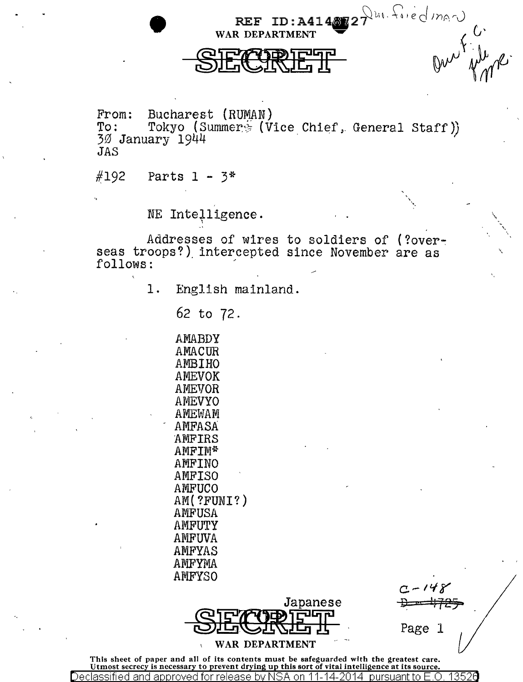REF ID:  $A414872 \gamma$ <sup>United</sup>  $m_0 \gamma$ WAR DEPARTMENT  $\left\{\n\begin{array}{ccc}\n\cdot & \cdot & \cdot & \cdot \\
\cdot & \cdot & \cdot & \cdot \\
\cdot & \cdot & \cdot & \cdot\n\end{array}\n\right\}$  $SETATEI = 15$ </u>

From: Bucharest (RUMAN)<br>To: Tokyo (Summer ) To: Tokyo (Summer. (Vice Chief, General Staff))<br>30 January 1944 JAS

 $#192$  Parts 1 - 3\*

NE Intelligence.

Addresses of wires to soldiers of (?overseas troops?) intercepted since November are as follows:

1. English mainland.

62 to 72.

AMABDY AMA CUR AMBIHO AMEVOK AMEVOR AMEVYO AMEWAM AMFASA AMF IRS AMF IM\* **AMFINO** AMF ISO AMFUCO AM( ?FUNI?) AMF USA AMFUTY AMFUVA AMFYAS AMFYMA AMFYSO



Page l

' "·

\

"

This sheet of paper and all of its contents must be safeguarded with the greatest care.<br>Utmost secrecy is necessary to prevent drying up this sort of vital intelligence at its source. Declassified and approved for release bv NSA on 11-14-2014 pursuant to E .0. 1352\3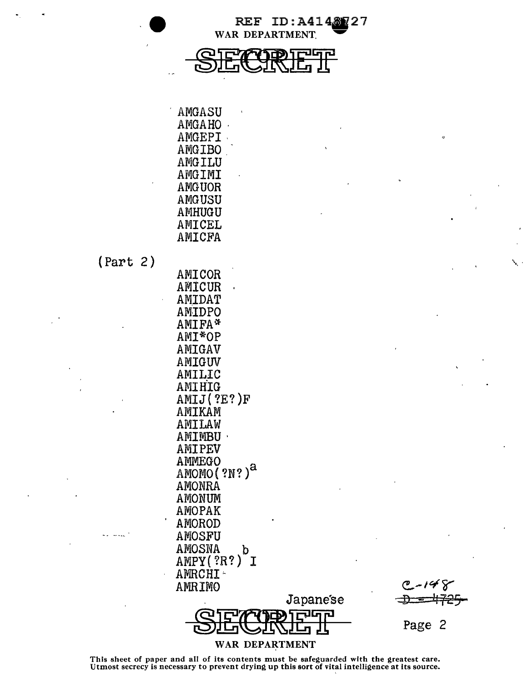

| AMGASU |  |
|--------|--|
| AMGAHO |  |
| AMGEPI |  |
| AMGIBO |  |
| AMGILU |  |
| AMGIMI |  |
| AMGUOR |  |
| AMGUSU |  |
| AMHUGU |  |
| AMICEL |  |
| AMICFA |  |

 $(Part 2)$ 

ا سنڌ ت

| AMICOR                   |
|--------------------------|
| AMICUR                   |
| AMIDAT                   |
| AMIDPO                   |
| AMIFA*                   |
| AMI*OP                   |
| AMIGAV                   |
| AMIGUV                   |
| AMILIC                   |
| AMIHIG                   |
| AMIJ(?E?)F               |
| AMIKAM                   |
| AMILAW                   |
| AMIMBU                   |
| AMIPEV                   |
| AMMEGO                   |
| AMOMO (?N?) <sup>a</sup> |
| AMONRA                   |
| AMONUM                   |
| <b>AMOPAK</b>            |
| AMOROD                   |
| AMOSFU                   |
| AMOSNA                   |
| AMPY(?R?) <sup>D</sup> I |
| AMRCHI-                  |
| <b>AMRIMO</b>            |
|                          |
| <b>איה</b> ו             |

**n** 

 $\circ$ 

Page 2

## WAR DEPARTMENT

Japanese

ד∟ן

己

JĻ

This sheet of paper and all of its contents must be safeguarded with the greatest care.<br>Utmost secrecy is necessary to prevent drying up this sort of vital intelligence at its source.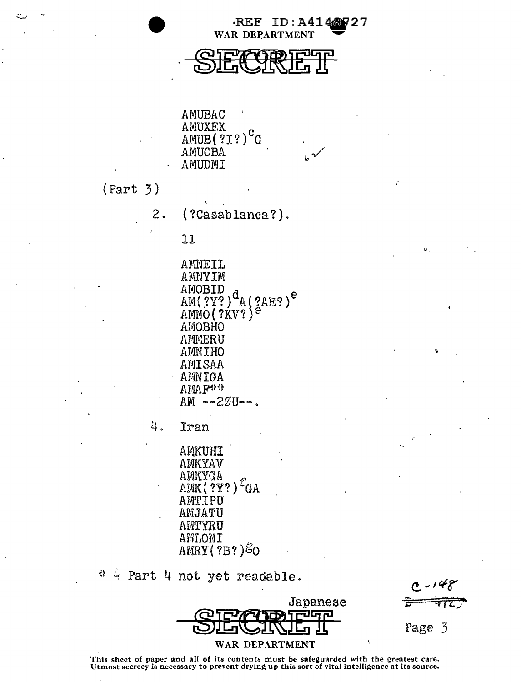·REF WAR DEPARTMENT

ID:A4148727

AMUBAC AMUXEK AMUB(?1?)<sup>c</sup> G **AMUCBA** AMUDMI

 $(Part 3)$ 

 $2.$ (?Casablanca?).

 $11$ 

AMNEIL AMNYIM AMOBID  $AM(2Y)$ <sup>d</sup><sub>A</sub>(2AE?)<sup>e</sup> AMNO (?KV?)<sup>e</sup> AMOBHO AMMERU AMNIHO AMISAA AMNIGA **AMAR\*\***  $AM - 2ØU -$ .

4. Iran

> AMKUHI AMKYAV AMKYGA  $AHK($  ?Y?)<sup>2</sup>GA AMTIPU AMJATU AMTYRU AMLONI AMRY (?B?) 80

 $\mathcal{L}^{\bullet}$ Part 4 not yet readable.

Japanese WAR DEPARTMENT

Page 3

ŵ.

This sheet of paper and all of its contents must be safeguarded with the greatest care.<br>Utmost secrecy is necessary to prevent drying up this sort of vital intelligence at its source.